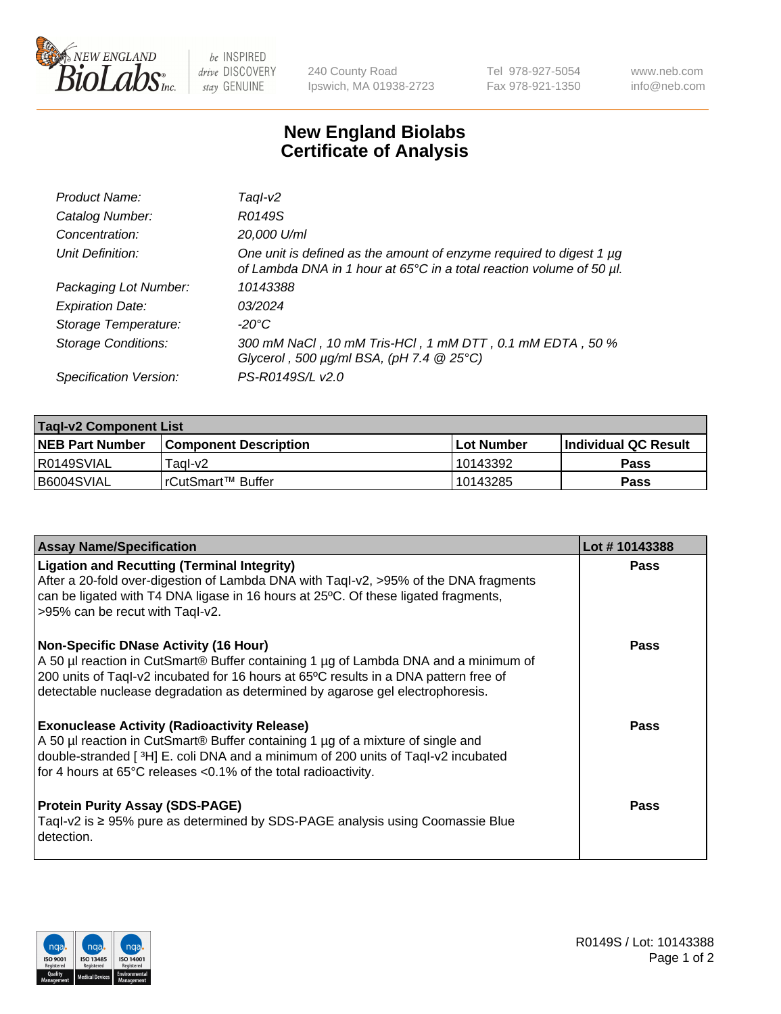

 $be$  INSPIRED drive DISCOVERY stay GENUINE

240 County Road Ipswich, MA 01938-2723 Tel 978-927-5054 Fax 978-921-1350 www.neb.com info@neb.com

## **New England Biolabs Certificate of Analysis**

| Product Name:              | Taql-v2                                                                                                                                     |
|----------------------------|---------------------------------------------------------------------------------------------------------------------------------------------|
| Catalog Number:            | R0149S                                                                                                                                      |
| Concentration:             | 20,000 U/ml                                                                                                                                 |
| Unit Definition:           | One unit is defined as the amount of enzyme required to digest 1 µg<br>of Lambda DNA in 1 hour at 65°C in a total reaction volume of 50 µl. |
| Packaging Lot Number:      | 10143388                                                                                                                                    |
| <b>Expiration Date:</b>    | 03/2024                                                                                                                                     |
| Storage Temperature:       | $-20^{\circ}$ C                                                                                                                             |
| <b>Storage Conditions:</b> | 300 mM NaCl, 10 mM Tris-HCl, 1 mM DTT, 0.1 mM EDTA, 50 %<br>Glycerol, 500 $\mu$ g/ml BSA, (pH 7.4 $@25°C$ )                                 |
| Specification Version:     | PS-R0149S/L v2.0                                                                                                                            |

| <b>Tagl-v2 Component List</b> |                              |              |                             |  |  |
|-------------------------------|------------------------------|--------------|-----------------------------|--|--|
| <b>NEB Part Number</b>        | <b>Component Description</b> | l Lot Number | <b>Individual QC Result</b> |  |  |
| I R0149SVIAL                  | Taɑl-v2                      | 10143392     | Pass                        |  |  |
| I B6004SVIAL                  | !rCutSmart™ Buffer_          | 10143285     | Pass                        |  |  |

| <b>Assay Name/Specification</b>                                                                                                                                                                                                                                                                              | Lot #10143388 |
|--------------------------------------------------------------------------------------------------------------------------------------------------------------------------------------------------------------------------------------------------------------------------------------------------------------|---------------|
| <b>Ligation and Recutting (Terminal Integrity)</b><br>After a 20-fold over-digestion of Lambda DNA with Taql-v2, >95% of the DNA fragments<br>can be ligated with T4 DNA ligase in 16 hours at 25°C. Of these ligated fragments,<br>>95% can be recut with Taql-v2.                                          | <b>Pass</b>   |
| <b>Non-Specific DNase Activity (16 Hour)</b><br>A 50 µl reaction in CutSmart® Buffer containing 1 µg of Lambda DNA and a minimum of<br>200 units of Taql-v2 incubated for 16 hours at 65°C results in a DNA pattern free of<br>detectable nuclease degradation as determined by agarose gel electrophoresis. | <b>Pass</b>   |
| <b>Exonuclease Activity (Radioactivity Release)</b><br>A 50 µl reaction in CutSmart® Buffer containing 1 µg of a mixture of single and<br>double-stranded [3H] E. coli DNA and a minimum of 200 units of Taql-v2 incubated<br>for 4 hours at 65°C releases <0.1% of the total radioactivity.                 | <b>Pass</b>   |
| <b>Protein Purity Assay (SDS-PAGE)</b><br>Tagl-v2 is $\geq$ 95% pure as determined by SDS-PAGE analysis using Coomassie Blue<br>detection.                                                                                                                                                                   | Pass          |